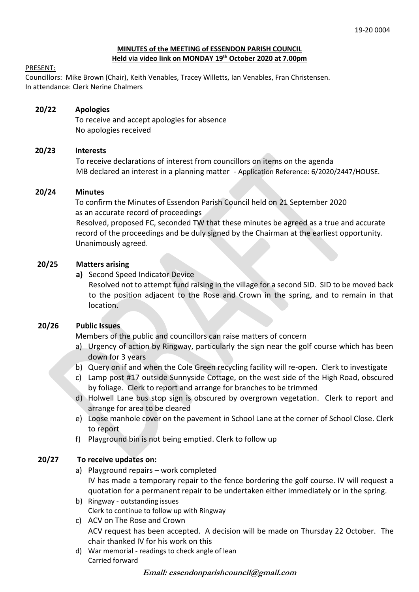#### **MINUTES of the MEETING of ESSENDON PARISH COUNCIL Held via video link on MONDAY 19th October 2020 at 7.00pm**

#### PRESENT:

Councillors: Mike Brown (Chair), Keith Venables, Tracey Willetts, Ian Venables, Fran Christensen. In attendance: Clerk Nerine Chalmers

# **20/22 Apologies**

To receive and accept apologies for absence No apologies received

## **20/23 Interests**

To receive declarations of interest from councillors on items on the agenda MB declared an interest in a planning matter - Application Reference: 6/2020/2447/HOUSE.

#### **20/24 Minutes**

 To confirm the Minutes of Essendon Parish Council held on 21 September 2020 as an accurate record of proceedings

 Resolved, proposed FC, seconded TW that these minutes be agreed as a true and accurate record of the proceedings and be duly signed by the Chairman at the earliest opportunity. Unanimously agreed.

#### **20/25 Matters arising**

**a)** Second Speed Indicator Device

Resolved not to attempt fund raising in the village for a second SID. SID to be moved back to the position adjacent to the Rose and Crown in the spring, and to remain in that location.

## **20/26 Public Issues**

Members of the public and councillors can raise matters of concern

- a) Urgency of action by Ringway, particularly the sign near the golf course which has been down for 3 years
- b) Query on if and when the Cole Green recycling facility will re-open. Clerk to investigate
- c) Lamp post #17 outside Sunnyside Cottage, on the west side of the High Road, obscured by foliage. Clerk to report and arrange for branches to be trimmed
- d) Holwell Lane bus stop sign is obscured by overgrown vegetation. Clerk to report and arrange for area to be cleared
- e) Loose manhole cover on the pavement in School Lane at the corner of School Close. Clerk to report
- f) Playground bin is not being emptied. Clerk to follow up

## **20/27 To receive updates on:**

- a) Playground repairs work completed IV has made a temporary repair to the fence bordering the golf course. IV will request a quotation for a permanent repair to be undertaken either immediately or in the spring.
- b) Ringway outstanding issues Clerk to continue to follow up with Ringway
- c) ACV on The Rose and Crown ACV request has been accepted. A decision will be made on Thursday 22 October. The chair thanked IV for his work on this
- d) War memorial readings to check angle of lean Carried forward

**Email: essendonparishcouncil@gmail.com**